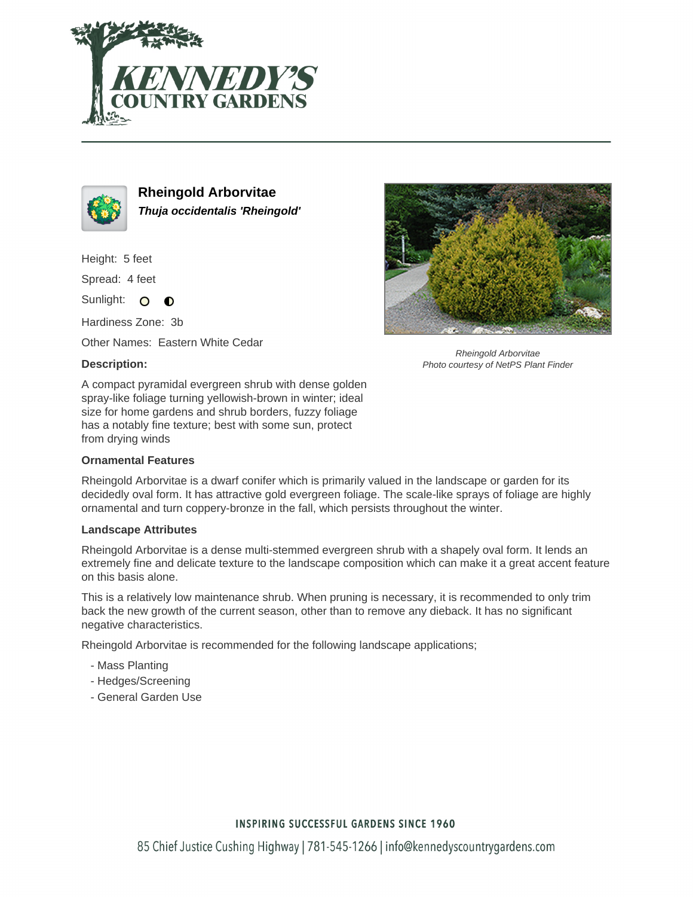



**Rheingold Arborvitae Thuja occidentalis 'Rheingold'**

Height: 5 feet

Spread: 4 feet

Sunlight: O  $\bullet$ 

Hardiness Zone: 3b

Other Names: Eastern White Cedar

### **Description:**



Rheingold Arborvitae Photo courtesy of NetPS Plant Finder

A compact pyramidal evergreen shrub with dense golden spray-like foliage turning yellowish-brown in winter; ideal size for home gardens and shrub borders, fuzzy foliage has a notably fine texture; best with some sun, protect from drying winds

#### **Ornamental Features**

Rheingold Arborvitae is a dwarf conifer which is primarily valued in the landscape or garden for its decidedly oval form. It has attractive gold evergreen foliage. The scale-like sprays of foliage are highly ornamental and turn coppery-bronze in the fall, which persists throughout the winter.

#### **Landscape Attributes**

Rheingold Arborvitae is a dense multi-stemmed evergreen shrub with a shapely oval form. It lends an extremely fine and delicate texture to the landscape composition which can make it a great accent feature on this basis alone.

This is a relatively low maintenance shrub. When pruning is necessary, it is recommended to only trim back the new growth of the current season, other than to remove any dieback. It has no significant negative characteristics.

Rheingold Arborvitae is recommended for the following landscape applications;

- Mass Planting
- Hedges/Screening
- General Garden Use

## **INSPIRING SUCCESSFUL GARDENS SINCE 1960**

85 Chief Justice Cushing Highway | 781-545-1266 | info@kennedyscountrygardens.com